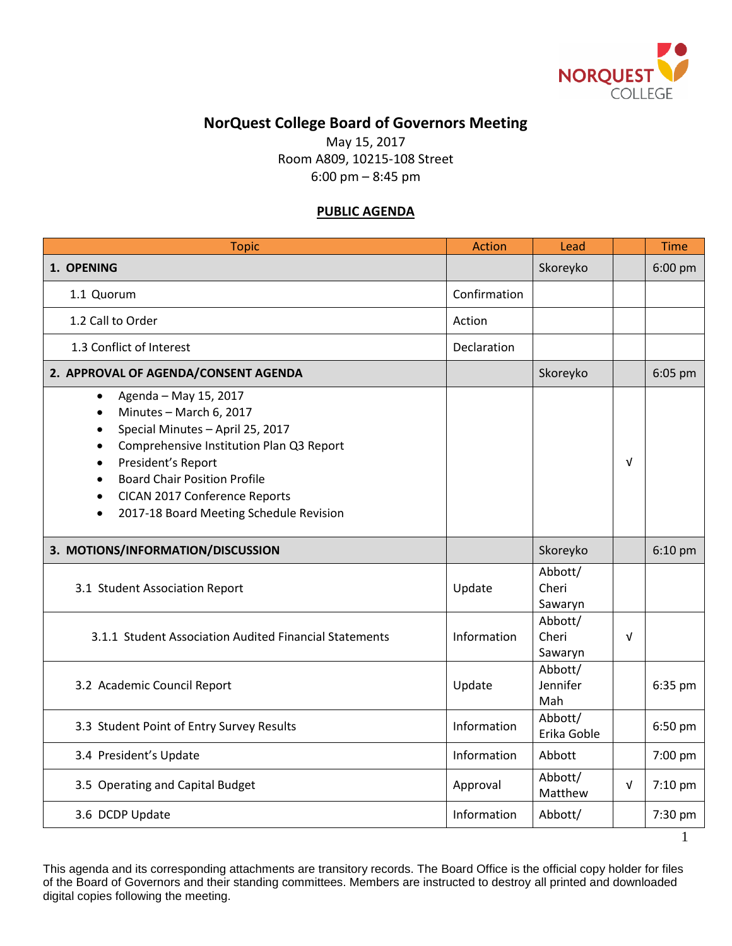

## **NorQuest College Board of Governors Meeting**

May 15, 2017 Room A809, 10215-108 Street 6:00 pm – 8:45 pm

## **PUBLIC AGENDA**

| <b>Topic</b>                                                                                                                                                                                                                                                                                                                  | <b>Action</b> | Lead                        |            | <b>Time</b> |
|-------------------------------------------------------------------------------------------------------------------------------------------------------------------------------------------------------------------------------------------------------------------------------------------------------------------------------|---------------|-----------------------------|------------|-------------|
| 1. OPENING                                                                                                                                                                                                                                                                                                                    |               | Skoreyko                    |            | 6:00 pm     |
| 1.1 Quorum                                                                                                                                                                                                                                                                                                                    | Confirmation  |                             |            |             |
| 1.2 Call to Order                                                                                                                                                                                                                                                                                                             | Action        |                             |            |             |
| 1.3 Conflict of Interest                                                                                                                                                                                                                                                                                                      | Declaration   |                             |            |             |
| 2. APPROVAL OF AGENDA/CONSENT AGENDA                                                                                                                                                                                                                                                                                          |               | Skoreyko                    |            | 6:05 pm     |
| Agenda - May 15, 2017<br>$\bullet$<br>Minutes - March 6, 2017<br>$\bullet$<br>Special Minutes - April 25, 2017<br>Comprehensive Institution Plan Q3 Report<br>President's Report<br><b>Board Chair Position Profile</b><br>CICAN 2017 Conference Reports<br>$\bullet$<br>2017-18 Board Meeting Schedule Revision<br>$\bullet$ |               |                             | $\sqrt{ }$ |             |
| 3. MOTIONS/INFORMATION/DISCUSSION                                                                                                                                                                                                                                                                                             |               | Skoreyko                    |            | $6:10$ pm   |
| 3.1 Student Association Report                                                                                                                                                                                                                                                                                                | Update        | Abbott/<br>Cheri<br>Sawaryn |            |             |
| 3.1.1 Student Association Audited Financial Statements                                                                                                                                                                                                                                                                        | Information   | Abbott/<br>Cheri<br>Sawaryn | $\sqrt{ }$ |             |
| 3.2 Academic Council Report                                                                                                                                                                                                                                                                                                   | Update        | Abbott/<br>Jennifer<br>Mah  |            | 6:35 pm     |
| 3.3 Student Point of Entry Survey Results                                                                                                                                                                                                                                                                                     | Information   | Abbott/<br>Erika Goble      |            | 6:50 pm     |
| 3.4 President's Update                                                                                                                                                                                                                                                                                                        | Information   | Abbott                      |            | 7:00 pm     |
| 3.5 Operating and Capital Budget                                                                                                                                                                                                                                                                                              | Approval      | Abbott/<br>Matthew          | $\sqrt{ }$ | 7:10 pm     |
| 3.6 DCDP Update                                                                                                                                                                                                                                                                                                               | Information   | Abbott/                     |            | 7:30 pm     |
|                                                                                                                                                                                                                                                                                                                               |               |                             |            |             |

This agenda and its corresponding attachments are transitory records. The Board Office is the official copy holder for files of the Board of Governors and their standing committees. Members are instructed to destroy all printed and downloaded digital copies following the meeting.